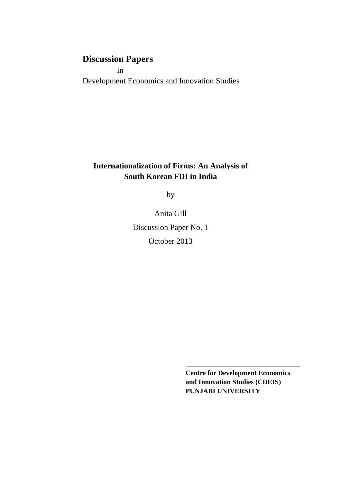# **Discussion Papers**

 in Development Economics and Innovation Studies

## **Internationalization of Firms: An Analysis of South Korean FDI in India**

by

Anita Gill Discussion Paper No. 1 October 2013

> **Centre for Development Economics and Innovation Studies (CDEIS) PUNJABI UNIVERSITY**

**\_\_\_\_\_\_\_\_\_\_\_\_\_\_\_\_\_\_\_\_\_\_\_\_\_\_\_\_\_\_\_\_\_**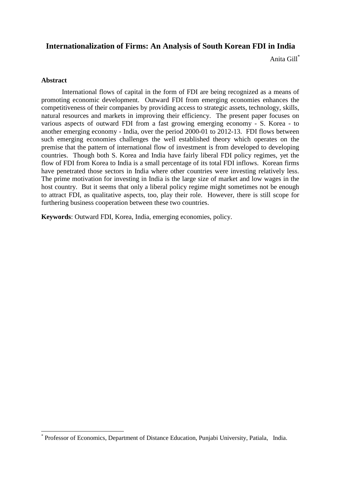### **Internationalization of Firms: An Analysis of South Korean FDI in India**

Anita Gill\*

#### **Abstract**

 $\overline{a}$ 

 International flows of capital in the form of FDI are being recognized as a means of promoting economic development. Outward FDI from emerging economies enhances the competitiveness of their companies by providing access to strategic assets, technology, skills, natural resources and markets in improving their efficiency. The present paper focuses on various aspects of outward FDI from a fast growing emerging economy - S. Korea - to another emerging economy - India, over the period 2000-01 to 2012-13. FDI flows between such emerging economies challenges the well established theory which operates on the premise that the pattern of international flow of investment is from developed to developing countries. Though both S. Korea and India have fairly liberal FDI policy regimes, yet the flow of FDI from Korea to India is a small percentage of its total FDI inflows. Korean firms have penetrated those sectors in India where other countries were investing relatively less. The prime motivation for investing in India is the large size of market and low wages in the host country. But it seems that only a liberal policy regime might sometimes not be enough to attract FDI, as qualitative aspects, too, play their role. However, there is still scope for furthering business cooperation between these two countries.

**Keywords**: Outward FDI, Korea, India, emerging economies, policy.

<sup>\*</sup> Professor of Economics, Department of Distance Education, Punjabi University, Patiala, India.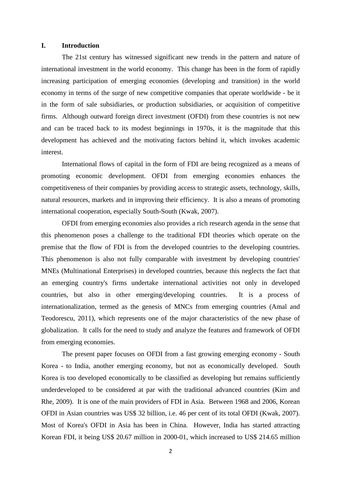#### **I. Introduction**

 The 21st century has witnessed significant new trends in the pattern and nature of international investment in the world economy. This change has been in the form of rapidly increasing participation of emerging economies (developing and transition) in the world economy in terms of the surge of new competitive companies that operate worldwide - be it in the form of sale subsidiaries, or production subsidiaries, or acquisition of competitive firms. Although outward foreign direct investment (OFDI) from these countries is not new and can be traced back to its modest beginnings in 1970s, it is the magnitude that this development has achieved and the motivating factors behind it, which invokes academic interest.

 International flows of capital in the form of FDI are being recognized as a means of promoting economic development. OFDI from emerging economies enhances the competitiveness of their companies by providing access to strategic assets, technology, skills, natural resources, markets and in improving their efficiency. It is also a means of promoting international cooperation, especially South-South (Kwak, 2007).

 OFDI from emerging economies also provides a rich research agenda in the sense that this phenomenon poses a challenge to the traditional FDI theories which operate on the premise that the flow of FDI is from the developed countries to the developing countries. This phenomenon is also not fully comparable with investment by developing countries' MNEs (Multinational Enterprises) in developed countries, because this neglects the fact that an emerging country's firms undertake international activities not only in developed countries, but also in other emerging/developing countries. It is a process of internationalization, termed as the genesis of MNCs from emerging countries (Amal and Teodorescu, 2011), which represents one of the major characteristics of the new phase of globalization. It calls for the need to study and analyze the features and framework of OFDI from emerging economies.

 The present paper focuses on OFDI from a fast growing emerging economy - South Korea - to India, another emerging economy, but not as economically developed. South Korea is too developed economically to be classified as developing but remains sufficiently underdeveloped to be considered at par with the traditional advanced countries (Kim and Rhe, 2009). It is one of the main providers of FDI in Asia. Between 1968 and 2006, Korean OFDI in Asian countries was US\$ 32 billion, i.e. 46 per cent of its total OFDI (Kwak, 2007). Most of Korea's OFDI in Asia has been in China. However, India has started attracting Korean FDI, it being US\$ 20.67 million in 2000-01, which increased to US\$ 214.65 million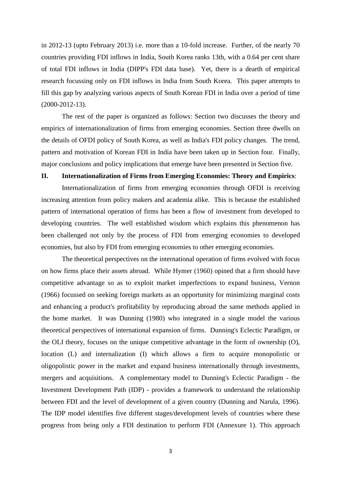in 2012-13 (upto February 2013) i.e. more than a 10-fold increase. Further, of the nearly 70 countries providing FDI inflows in India, South Korea ranks 13th, with a 0.64 per cent share of total FDI inflows in India (DIPP's FDI data base). Yet, there is a dearth of empirical research focussing only on FDI inflows in India from South Korea. This paper attempts to fill this gap by analyzing various aspects of South Korean FDI in India over a period of time (2000-2012-13).

 The rest of the paper is organized as follows: Section two discusses the theory and empirics of internationalization of firms from emerging economies. Section three dwells on the details of OFDI policy of South Korea, as well as India's FDI policy changes. The trend, pattern and motivation of Korean FDI in India have been taken up in Section four. Finally, major conclusions and policy implications that emerge have been presented in Section five.

#### **II. Internationalization of Firms from Emerging Economies: Theory and Empirics**:

 Internationalization of firms from emerging economies through OFDI is receiving increasing attention from policy makers and academia alike. This is because the established pattern of international operation of firms has been a flow of investment from developed to developing countries. The well established wisdom which explains this phenomenon has been challenged not only by the process of FDI from emerging economies to developed economies, but also by FDI from emerging economies to other emerging economies.

 The theoretical perspectives on the international operation of firms evolved with focus on how firms place their assets abroad. While Hymer (1960) opined that a firm should have competitive advantage so as to exploit market imperfections to expand business, Vernon (1966) focussed on seeking foreign markets as an opportunity for minimizing marginal costs and enhancing a product's profitability by reproducing abroad the same methods applied in the home market. It was Dunning (1980) who integrated in a single model the various theoretical perspectives of international expansion of firms. Dunning's Eclectic Paradigm, or the OLI theory, focuses on the unique competitive advantage in the form of ownership (O), location (L) and internalization (I) which allows a firm to acquire monopolistic or oligopolistic power in the market and expand business internationally through investments, mergers and acquisitions. A complementary model to Dunning's Eclectic Paradigm - the Investment Development Path (IDP) - provides a framework to understand the relationship between FDI and the level of development of a given country (Dunning and Narula, 1996). The IDP model identifies five different stages/development levels of countries where these progress from being only a FDI destination to perform FDI (Annexure 1). This approach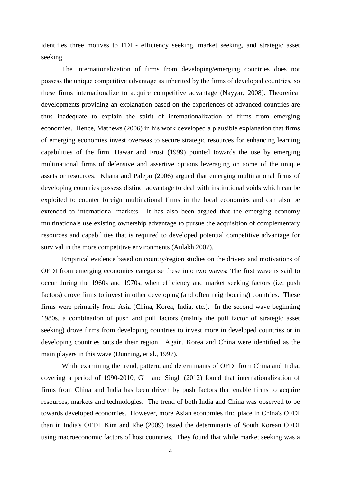identifies three motives to FDI - efficiency seeking, market seeking, and strategic asset seeking.

 The internationalization of firms from developing/emerging countries does not possess the unique competitive advantage as inherited by the firms of developed countries, so these firms internationalize to acquire competitive advantage (Nayyar, 2008). Theoretical developments providing an explanation based on the experiences of advanced countries are thus inadequate to explain the spirit of internationalization of firms from emerging economies. Hence, Mathews (2006) in his work developed a plausible explanation that firms of emerging economies invest overseas to secure strategic resources for enhancing learning capabilities of the firm. Dawar and Frost (1999) pointed towards the use by emerging multinational firms of defensive and assertive options leveraging on some of the unique assets or resources. Khana and Palepu (2006) argued that emerging multinational firms of developing countries possess distinct advantage to deal with institutional voids which can be exploited to counter foreign multinational firms in the local economies and can also be extended to international markets. It has also been argued that the emerging economy multinationals use existing ownership advantage to pursue the acquisition of complementary resources and capabilities that is required to developed potential competitive advantage for survival in the more competitive environments (Aulakh 2007).

 Empirical evidence based on country/region studies on the drivers and motivations of OFDI from emerging economies categorise these into two waves: The first wave is said to occur during the 1960s and 1970s, when efficiency and market seeking factors (i.e. push factors) drove firms to invest in other developing (and often neighbouring) countries. These firms were primarily from Asia (China, Korea, India, etc.). In the second wave beginning 1980s, a combination of push and pull factors (mainly the pull factor of strategic asset seeking) drove firms from developing countries to invest more in developed countries or in developing countries outside their region. Again, Korea and China were identified as the main players in this wave (Dunning, et al., 1997).

 While examining the trend, pattern, and determinants of OFDI from China and India, covering a period of 1990-2010, Gill and Singh (2012) found that internationalization of firms from China and India has been driven by push factors that enable firms to acquire resources, markets and technologies. The trend of both India and China was observed to be towards developed economies. However, more Asian economies find place in China's OFDI than in India's OFDI. Kim and Rhe (2009) tested the determinants of South Korean OFDI using macroeconomic factors of host countries. They found that while market seeking was a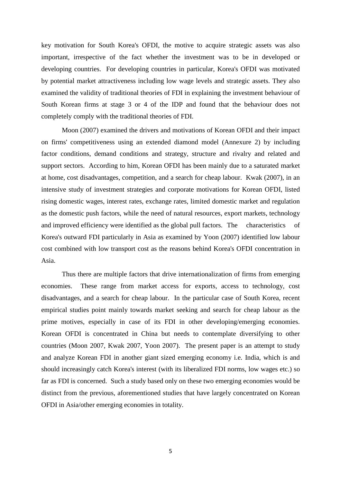key motivation for South Korea's OFDI, the motive to acquire strategic assets was also important, irrespective of the fact whether the investment was to be in developed or developing countries. For developing countries in particular, Korea's OFDI was motivated by potential market attractiveness including low wage levels and strategic assets. They also examined the validity of traditional theories of FDI in explaining the investment behaviour of South Korean firms at stage 3 or 4 of the IDP and found that the behaviour does not completely comply with the traditional theories of FDI.

 Moon (2007) examined the drivers and motivations of Korean OFDI and their impact on firms' competitiveness using an extended diamond model (Annexure 2) by including factor conditions, demand conditions and strategy, structure and rivalry and related and support sectors. According to him, Korean OFDI has been mainly due to a saturated market at home, cost disadvantages, competition, and a search for cheap labour. Kwak (2007), in an intensive study of investment strategies and corporate motivations for Korean OFDI, listed rising domestic wages, interest rates, exchange rates, limited domestic market and regulation as the domestic push factors, while the need of natural resources, export markets, technology and improved efficiency were identified as the global pull factors. The characteristics of Korea's outward FDI particularly in Asia as examined by Yoon (2007) identified low labour cost combined with low transport cost as the reasons behind Korea's OFDI concentration in Asia.

 Thus there are multiple factors that drive internationalization of firms from emerging economies. These range from market access for exports, access to technology, cost disadvantages, and a search for cheap labour. In the particular case of South Korea, recent empirical studies point mainly towards market seeking and search for cheap labour as the prime motives, especially in case of its FDI in other developing/emerging economies. Korean OFDI is concentrated in China but needs to contemplate diversifying to other countries (Moon 2007, Kwak 2007, Yoon 2007). The present paper is an attempt to study and analyze Korean FDI in another giant sized emerging economy i.e. India, which is and should increasingly catch Korea's interest (with its liberalized FDI norms, low wages etc.) so far as FDI is concerned. Such a study based only on these two emerging economies would be distinct from the previous, aforementioned studies that have largely concentrated on Korean OFDI in Asia/other emerging economies in totality.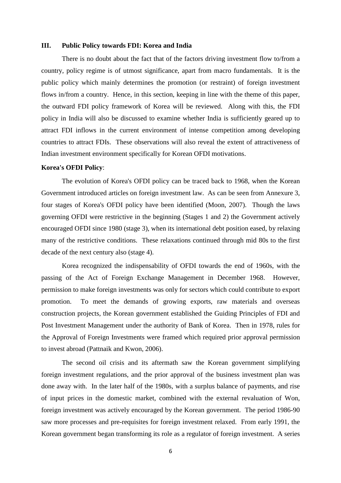#### **III. Public Policy towards FDI: Korea and India**

 There is no doubt about the fact that of the factors driving investment flow to/from a country, policy regime is of utmost significance, apart from macro fundamentals. It is the public policy which mainly determines the promotion (or restraint) of foreign investment flows in/from a country. Hence, in this section, keeping in line with the theme of this paper, the outward FDI policy framework of Korea will be reviewed. Along with this, the FDI policy in India will also be discussed to examine whether India is sufficiently geared up to attract FDI inflows in the current environment of intense competition among developing countries to attract FDIs. These observations will also reveal the extent of attractiveness of Indian investment environment specifically for Korean OFDI motivations.

#### **Korea's OFDI Policy**:

 The evolution of Korea's OFDI policy can be traced back to 1968, when the Korean Government introduced articles on foreign investment law. As can be seen from Annexure 3, four stages of Korea's OFDI policy have been identified (Moon, 2007). Though the laws governing OFDI were restrictive in the beginning (Stages 1 and 2) the Government actively encouraged OFDI since 1980 (stage 3), when its international debt position eased, by relaxing many of the restrictive conditions. These relaxations continued through mid 80s to the first decade of the next century also (stage 4).

 Korea recognized the indispensability of OFDI towards the end of 1960s, with the passing of the Act of Foreign Exchange Management in December 1968. However, permission to make foreign investments was only for sectors which could contribute to export promotion. To meet the demands of growing exports, raw materials and overseas construction projects, the Korean government established the Guiding Principles of FDI and Post Investment Management under the authority of Bank of Korea. Then in 1978, rules for the Approval of Foreign Investments were framed which required prior approval permission to invest abroad (Pattnaik and Kwon, 2006).

 The second oil crisis and its aftermath saw the Korean government simplifying foreign investment regulations, and the prior approval of the business investment plan was done away with. In the later half of the 1980s, with a surplus balance of payments, and rise of input prices in the domestic market, combined with the external revaluation of Won, foreign investment was actively encouraged by the Korean government. The period 1986-90 saw more processes and pre-requisites for foreign investment relaxed. From early 1991, the Korean government began transforming its role as a regulator of foreign investment. A series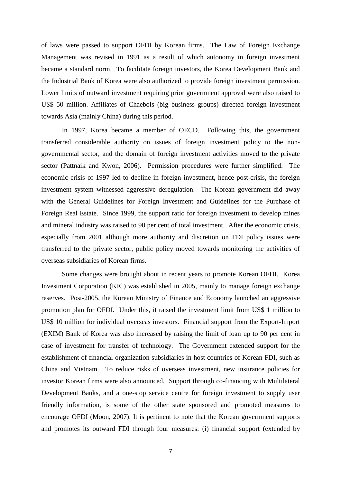of laws were passed to support OFDI by Korean firms. The Law of Foreign Exchange Management was revised in 1991 as a result of which autonomy in foreign investment became a standard norm. To facilitate foreign investors, the Korea Development Bank and the Industrial Bank of Korea were also authorized to provide foreign investment permission. Lower limits of outward investment requiring prior government approval were also raised to US\$ 50 million. Affiliates of Chaebols (big business groups) directed foreign investment towards Asia (mainly China) during this period.

 In 1997, Korea became a member of OECD. Following this, the government transferred considerable authority on issues of foreign investment policy to the nongovernmental sector, and the domain of foreign investment activities moved to the private sector (Pattnaik and Kwon, 2006). Permission procedures were further simplified. The economic crisis of 1997 led to decline in foreign investment, hence post-crisis, the foreign investment system witnessed aggressive deregulation. The Korean government did away with the General Guidelines for Foreign Investment and Guidelines for the Purchase of Foreign Real Estate. Since 1999, the support ratio for foreign investment to develop mines and mineral industry was raised to 90 per cent of total investment. After the economic crisis, especially from 2001 although more authority and discretion on FDI policy issues were transferred to the private sector, public policy moved towards monitoring the activities of overseas subsidiaries of Korean firms.

 Some changes were brought about in recent years to promote Korean OFDI. Korea Investment Corporation (KIC) was established in 2005, mainly to manage foreign exchange reserves. Post-2005, the Korean Ministry of Finance and Economy launched an aggressive promotion plan for OFDI. Under this, it raised the investment limit from US\$ 1 million to US\$ 10 million for individual overseas investors. Financial support from the Export-Import (EXIM) Bank of Korea was also increased by raising the limit of loan up to 90 per cent in case of investment for transfer of technology. The Government extended support for the establishment of financial organization subsidiaries in host countries of Korean FDI, such as China and Vietnam. To reduce risks of overseas investment, new insurance policies for investor Korean firms were also announced. Support through co-financing with Multilateral Development Banks, and a one-stop service centre for foreign investment to supply user friendly information, is some of the other state sponsored and promoted measures to encourage OFDI (Moon, 2007). It is pertinent to note that the Korean government supports and promotes its outward FDI through four measures: (i) financial support (extended by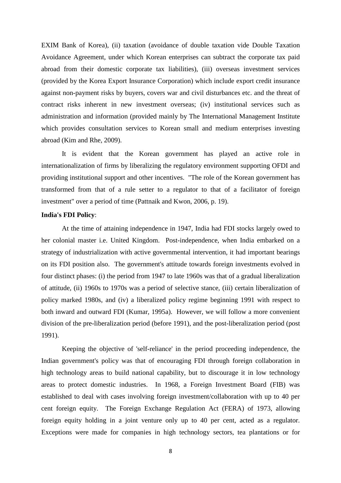EXIM Bank of Korea), (ii) taxation (avoidance of double taxation vide Double Taxation Avoidance Agreement, under which Korean enterprises can subtract the corporate tax paid abroad from their domestic corporate tax liabilities), (iii) overseas investment services (provided by the Korea Export Insurance Corporation) which include export credit insurance against non-payment risks by buyers, covers war and civil disturbances etc. and the threat of contract risks inherent in new investment overseas; (iv) institutional services such as administration and information (provided mainly by The International Management Institute which provides consultation services to Korean small and medium enterprises investing abroad (Kim and Rhe, 2009).

 It is evident that the Korean government has played an active role in internationalization of firms by liberalizing the regulatory environment supporting OFDI and providing institutional support and other incentives. "The role of the Korean government has transformed from that of a rule setter to a regulator to that of a facilitator of foreign investment" over a period of time (Pattnaik and Kwon, 2006, p. 19).

#### **India's FDI Policy**:

 At the time of attaining independence in 1947, India had FDI stocks largely owed to her colonial master i.e. United Kingdom. Post-independence, when India embarked on a strategy of industrialization with active governmental intervention, it had important bearings on its FDI position also. The government's attitude towards foreign investments evolved in four distinct phases: (i) the period from 1947 to late 1960s was that of a gradual liberalization of attitude, (ii) 1960s to 1970s was a period of selective stance, (iii) certain liberalization of policy marked 1980s, and (iv) a liberalized policy regime beginning 1991 with respect to both inward and outward FDI (Kumar, 1995a). However, we will follow a more convenient division of the pre-liberalization period (before 1991), and the post-liberalization period (post 1991).

 Keeping the objective of 'self-reliance' in the period proceeding independence, the Indian government's policy was that of encouraging FDI through foreign collaboration in high technology areas to build national capability, but to discourage it in low technology areas to protect domestic industries. In 1968, a Foreign Investment Board (FIB) was established to deal with cases involving foreign investment/collaboration with up to 40 per cent foreign equity. The Foreign Exchange Regulation Act (FERA) of 1973, allowing foreign equity holding in a joint venture only up to 40 per cent, acted as a regulator. Exceptions were made for companies in high technology sectors, tea plantations or for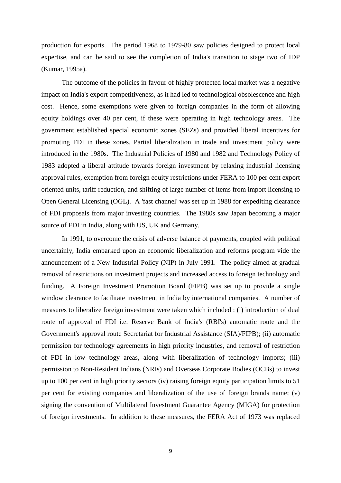production for exports. The period 1968 to 1979-80 saw policies designed to protect local expertise, and can be said to see the completion of India's transition to stage two of IDP (Kumar, 1995a).

 The outcome of the policies in favour of highly protected local market was a negative impact on India's export competitiveness, as it had led to technological obsolescence and high cost. Hence, some exemptions were given to foreign companies in the form of allowing equity holdings over 40 per cent, if these were operating in high technology areas. The government established special economic zones (SEZs) and provided liberal incentives for promoting FDI in these zones. Partial liberalization in trade and investment policy were introduced in the 1980s. The Industrial Policies of 1980 and 1982 and Technology Policy of 1983 adopted a liberal attitude towards foreign investment by relaxing industrial licensing approval rules, exemption from foreign equity restrictions under FERA to 100 per cent export oriented units, tariff reduction, and shifting of large number of items from import licensing to Open General Licensing (OGL). A 'fast channel' was set up in 1988 for expediting clearance of FDI proposals from major investing countries. The 1980s saw Japan becoming a major source of FDI in India, along with US, UK and Germany.

 In 1991, to overcome the crisis of adverse balance of payments, coupled with political uncertainly, India embarked upon an economic liberalization and reforms program vide the announcement of a New Industrial Policy (NIP) in July 1991. The policy aimed at gradual removal of restrictions on investment projects and increased access to foreign technology and funding. A Foreign Investment Promotion Board (FIPB) was set up to provide a single window clearance to facilitate investment in India by international companies. A number of measures to liberalize foreign investment were taken which included : (i) introduction of dual route of approval of FDI i.e. Reserve Bank of India's (RBI's) automatic route and the Government's approval route Secretariat for Industrial Assistance (SIA)/FIPB); (ii) automatic permission for technology agreements in high priority industries, and removal of restriction of FDI in low technology areas, along with liberalization of technology imports; (iii) permission to Non-Resident Indians (NRIs) and Overseas Corporate Bodies (OCBs) to invest up to 100 per cent in high priority sectors (iv) raising foreign equity participation limits to 51 per cent for existing companies and liberalization of the use of foreign brands name; (v) signing the convention of Multilateral Investment Guarantee Agency (MIGA) for protection of foreign investments. In addition to these measures, the FERA Act of 1973 was replaced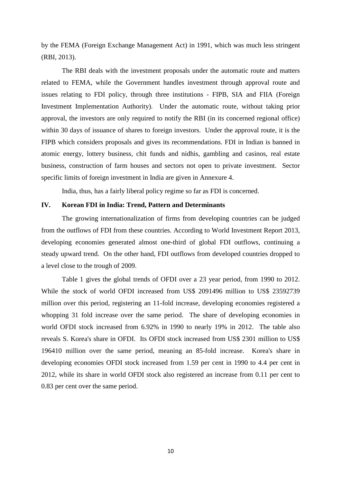by the FEMA (Foreign Exchange Management Act) in 1991, which was much less stringent (RBI, 2013).

 The RBI deals with the investment proposals under the automatic route and matters related to FEMA, while the Government handles investment through approval route and issues relating to FDI policy, through three institutions - FIPB, SIA and FIIA (Foreign Investment Implementation Authority). Under the automatic route, without taking prior approval, the investors are only required to notify the RBI (in its concerned regional office) within 30 days of issuance of shares to foreign investors. Under the approval route, it is the FIPB which considers proposals and gives its recommendations. FDI in Indian is banned in atomic energy, lottery business, chit funds and nidhis, gambling and casinos, real estate business, construction of farm houses and sectors not open to private investment. Sector specific limits of foreign investment in India are given in Annexure 4.

India, thus, has a fairly liberal policy regime so far as FDI is concerned.

#### **IV. Korean FDI in India: Trend, Pattern and Determinants**

 The growing internationalization of firms from developing countries can be judged from the outflows of FDI from these countries. According to World Investment Report 2013, developing economies generated almost one-third of global FDI outflows, continuing a steady upward trend. On the other hand, FDI outflows from developed countries dropped to a level close to the trough of 2009.

 Table 1 gives the global trends of OFDI over a 23 year period, from 1990 to 2012. While the stock of world OFDI increased from US\$ 2091496 million to US\$ 23592739 million over this period, registering an 11-fold increase, developing economies registered a whopping 31 fold increase over the same period. The share of developing economies in world OFDI stock increased from 6.92% in 1990 to nearly 19% in 2012. The table also reveals S. Korea's share in OFDI. Its OFDI stock increased from US\$ 2301 million to US\$ 196410 million over the same period, meaning an 85-fold increase. Korea's share in developing economies OFDI stock increased from 1.59 per cent in 1990 to 4.4 per cent in 2012, while its share in world OFDI stock also registered an increase from 0.11 per cent to 0.83 per cent over the same period.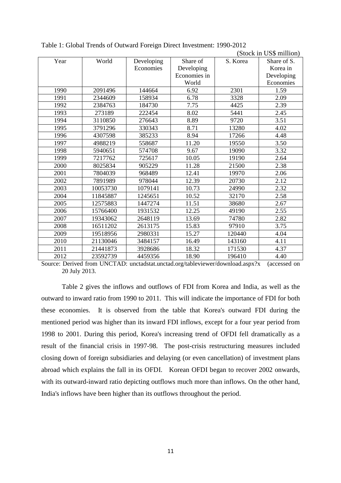|      |          |            |              |          | (Stock in US\$ million) |
|------|----------|------------|--------------|----------|-------------------------|
| Year | World    | Developing | Share of     | S. Korea | Share of S.             |
|      |          | Economies  | Developing   |          | Korea in                |
|      |          |            | Economies in |          | Developing              |
|      |          |            | World        |          | Economies               |
| 1990 | 2091496  | 144664     | 6.92         | 2301     | 1.59                    |
| 1991 | 2344609  | 158934     | 6.78         | 3328     | 2.09                    |
| 1992 | 2384763  | 184730     | 7.75         | 4425     | 2.39                    |
| 1993 | 273189   | 222454     | 8.02         | 5441     | 2.45                    |
| 1994 | 3110850  | 276643     | 8.89         | 9720     | 3.51                    |
| 1995 | 3791296  | 330343     | 8.71         | 13280    | 4.02                    |
| 1996 | 4307598  | 385233     | 8.94         | 17266    | 4.48                    |
| 1997 | 4988219  | 558687     | 11.20        | 19550    | 3.50                    |
| 1998 | 5940651  | 574708     | 9.67         | 19090    | 3.32                    |
| 1999 | 7217762  | 725617     | 10.05        | 19190    | 2.64                    |
| 2000 | 8025834  | 905229     | 11.28        | 21500    | 2.38                    |
| 2001 | 7804039  | 968489     | 12.41        | 19970    | 2.06                    |
| 2002 | 7891989  | 978044     | 12.39        | 20730    | 2.12                    |
| 2003 | 10053730 | 1079141    | 10.73        | 24990    | 2.32                    |
| 2004 | 11845887 | 1245651    | 10.52        | 32170    | 2.58                    |
| 2005 | 12575883 | 1447274    | 11.51        | 38680    | 2.67                    |
| 2006 | 15766400 | 1931532    | 12.25        | 49190    | 2.55                    |
| 2007 | 19343062 | 2648119    | 13.69        | 74780    | 2.82                    |
| 2008 | 16511202 | 2613175    | 15.83        | 97910    | 3.75                    |
| 2009 | 19518956 | 2980331    | 15.27        | 120440   | 4.04                    |
| 2010 | 21130046 | 3484157    | 16.49        | 143160   | 4.11                    |
| 2011 | 21441873 | 3928686    | 18.32        | 171530   | 4.37                    |
| 2012 | 23592739 | 4459356    | 18.90        | 196410   | 4.40                    |

Table 1: Global Trends of Outward Foreign Direct Investment: 1990-2012

Source: Derived from UNCTAD: unctadstat.unctad.org/tableviewer/download.aspx?x (accessed on 20 July 2013.

 Table 2 gives the inflows and outflows of FDI from Korea and India, as well as the outward to inward ratio from 1990 to 2011. This will indicate the importance of FDI for both these economies. It is observed from the table that Korea's outward FDI during the mentioned period was higher than its inward FDI inflows, except for a four year period from 1998 to 2001. During this period, Korea's increasing trend of OFDI fell dramatically as a result of the financial crisis in 1997-98. The post-crisis restructuring measures included closing down of foreign subsidiaries and delaying (or even cancellation) of investment plans abroad which explains the fall in its OFDI. Korean OFDI began to recover 2002 onwards, with its outward-inward ratio depicting outflows much more than inflows. On the other hand, India's inflows have been higher than its outflows throughout the period.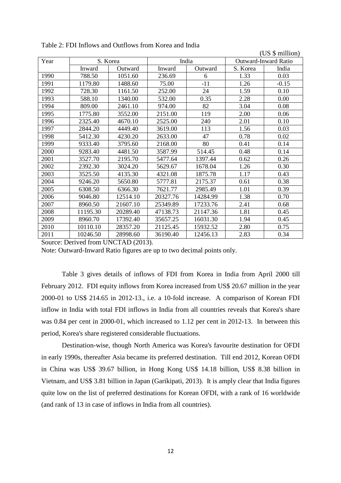|      | (US \$ million)   |          |                             |          |          |         |
|------|-------------------|----------|-----------------------------|----------|----------|---------|
| Year | India<br>S. Korea |          | <b>Outward-Inward Ratio</b> |          |          |         |
|      | Inward            | Outward  | Inward                      | Outward  | S. Korea | India   |
| 1990 | 788.50            | 1051.60  | 236.69                      | 6        | 1.33     | 0.03    |
| 1991 | 1179.80           | 1488.60  | 75.00                       | $-11$    | 1.26     | $-0.15$ |
| 1992 | 728.30            | 1161.50  | 252.00                      | 24       | 1.59     | 0.10    |
| 1993 | 588.10            | 1340.00  | 532.00                      | 0.35     | 2.28     | 0.00    |
| 1994 | 809.00            | 2461.10  | 974.00                      | 82       | 3.04     | 0.08    |
| 1995 | 1775.80           | 3552.00  | 2151.00                     | 119      | 2.00     | 0.06    |
| 1996 | 2325.40           | 4670.10  | 2525.00                     | 240      | 2.01     | 0.10    |
| 1997 | 2844.20           | 4449.40  | 3619.00                     | 113      | 1.56     | 0.03    |
| 1998 | 5412.30           | 4230.20  | 2633.00                     | 47       | 0.78     | 0.02    |
| 1999 | 9333.40           | 3795.60  | 2168.00                     | 80       | 0.41     | 0.14    |
| 2000 | 9283.40           | 4481.50  | 3587.99                     | 514.45   | 0.48     | 0.14    |
| 2001 | 3527.70           | 2195.70  | 5477.64                     | 1397.44  | 0.62     | 0.26    |
| 2002 | 2392.30           | 3024.20  | 5629.67                     | 1678.04  | 1.26     | 0.30    |
| 2003 | 3525.50           | 4135.30  | 4321.08                     | 1875.78  | 1.17     | 0.43    |
| 2004 | 9246.20           | 5650.80  | 5777.81                     | 2175.37  | 0.61     | 0.38    |
| 2005 | 6308.50           | 6366.30  | 7621.77                     | 2985.49  | 1.01     | 0.39    |
| 2006 | 9046.80           | 12514.10 | 20327.76                    | 14284.99 | 1.38     | 0.70    |
| 2007 | 8960.50           | 21607.10 | 25349.89                    | 17233.76 | 2.41     | 0.68    |
| 2008 | 11195.30          | 20289.40 | 47138.73                    | 21147.36 | 1.81     | 0.45    |
| 2009 | 8960.70           | 17392.40 | 35657.25                    | 16031.30 | 1.94     | 0.45    |
| 2010 | 10110.10          | 28357.20 | 21125.45                    | 15932.52 | 2.80     | 0.75    |
| 2011 | 10246.50          | 28998.60 | 36190.40                    | 12456.13 | 2.83     | 0.34    |

Table 2: FDI Inflows and Outflows from Korea and India

Source: Derived from UNCTAD (2013).

Note: Outward-Inward Ratio figures are up to two decimal points only.

 Table 3 gives details of inflows of FDI from Korea in India from April 2000 till February 2012. FDI equity inflows from Korea increased from US\$ 20.67 million in the year 2000-01 to US\$ 214.65 in 2012-13., i.e. a 10-fold increase. A comparison of Korean FDI inflow in India with total FDI inflows in India from all countries reveals that Korea's share was 0.84 per cent in 2000-01, which increased to 1.12 per cent in 2012-13. In between this period, Korea's share registered considerable fluctuations.

 Destination-wise, though North America was Korea's favourite destination for OFDI in early 1990s, thereafter Asia became its preferred destination. Till end 2012, Korean OFDI in China was US\$ 39.67 billion, in Hong Kong US\$ 14.18 billion, US\$ 8.38 billion in Vietnam, and US\$ 3.81 billion in Japan (Garikipati, 2013). It is amply clear that India figures quite low on the list of preferred destinations for Korean OFDI, with a rank of 16 worldwide (and rank of 13 in case of inflows in India from all countries).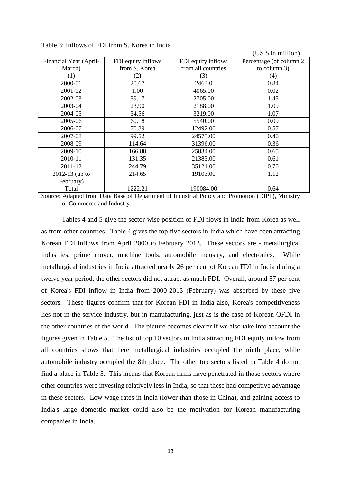|                        |                    |                    | (US \$ in million)      |
|------------------------|--------------------|--------------------|-------------------------|
| Financial Year (April- | FDI equity inflows | FDI equity inflows | Percentage (of column 2 |
| March)                 | from S. Korea      | from all countries | to column 3)            |
| (1)                    | (2)                | (3)                | (4)                     |
| 2000-01                | 20.67              | 2463.0             | 0.84                    |
| 2001-02                | 1.00               | 4065.00            | 0.02                    |
| 2002-03                | 39.17              | 2705.00            | 1.45                    |
| 2003-04                | 23.90              | 2188.00            | 1.09                    |
| 2004-05                | 34.56              | 3219.00            | 1.07                    |
| 2005-06                | 60.18              | 5540.00            | 0.09                    |
| 2006-07                | 70.89              | 12492.00           | 0.57                    |
| 2007-08                | 99.52              | 24575.00           | 0.40                    |
| 2008-09                | 114.64             | 31396.00           | 0.36                    |
| 2009-10                | 166.88             | 25834.00           | 0.65                    |
| 2010-11                | 131.35             | 21383.00           | 0.61                    |
| 2011-12                | 244.79             | 35121.00           | 0.70                    |
| 2012-13 (up to         | 214.65             | 19103.00           | 1.12                    |
| February)              |                    |                    |                         |
| Total                  | 1222.21            | 190084.00          | 0.64                    |

Table 3: Inflows of FDI from S. Korea in India

Source: Adapted from Data Base of Department of Industrial Policy and Promotion (DIPP), Ministry of Commerce and Industry.

 Tables 4 and 5 give the sector-wise position of FDI flows in India from Korea as well as from other countries. Table 4 gives the top five sectors in India which have been attracting Korean FDI inflows from April 2000 to February 2013. These sectors are - metallurgical industries, prime mover, machine tools, automobile industry, and electronics. While metallurgical industries in India attracted nearly 26 per cent of Korean FDI in India during a twelve year period, the other sectors did not attract as much FDI. Overall, around 57 per cent of Korea's FDI inflow in India from 2000-2013 (February) was absorbed by these five sectors. These figures confirm that for Korean FDI in India also, Korea's competitiveness lies not in the service industry, but in manufacturing, just as is the case of Korean OFDI in the other countries of the world. The picture becomes clearer if we also take into account the figures given in Table 5. The list of top 10 sectors in India attracting FDI equity inflow from all countries shows that here metallurgical industries occupied the ninth place, while automobile industry occupied the 8th place. The other top sectors listed in Table 4 do not find a place in Table 5. This means that Korean firms have penetrated in those sectors where other countries were investing relatively less in India, so that these had competitive advantage in these sectors. Low wage rates in India (lower than those in China), and gaining access to India's large domestic market could also be the motivation for Korean manufacturing companies in India.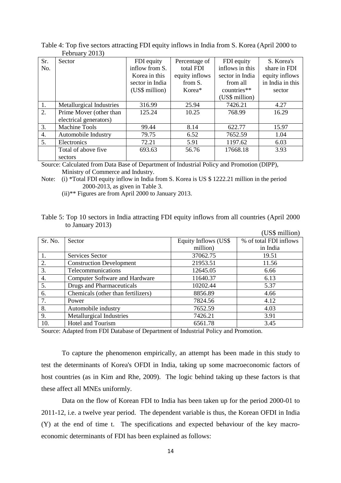|     | $1$ output $y$ $\omega$ $1\omega$ $y$ |                 |                |                 |                  |
|-----|---------------------------------------|-----------------|----------------|-----------------|------------------|
| Sr. | Sector                                | FDI equity      | Percentage of  | FDI equity      | S. Korea's       |
| No. |                                       | inflow from S.  | total FDI      | inflows in this | share in FDI     |
|     |                                       | Korea in this   | equity inflows | sector in India | equity inflows   |
|     |                                       | sector in India | from S.        | from all        | in India in this |
|     |                                       | (US\$ million)  | Korea*         | countries**     | sector           |
|     |                                       |                 |                | (US\$ million)  |                  |
| 1.  | Metallurgical Industries              | 316.99          | 25.94          | 7426.21         | 4.27             |
| 2.  | Prime Mover (other than               | 125.24          | 10.25          | 768.99          | 16.29            |
|     | electrical generators)                |                 |                |                 |                  |
| 3.  | <b>Machine Tools</b>                  | 99.44           | 8.14           | 622.77          | 15.97            |
| 4.  | Automobile Industry                   | 79.75           | 6.52           | 7652.59         | 1.04             |
| 5.  | Electronics                           | 72.21           | 5.91           | 1197.62         | 6.03             |
|     | Total of above five                   | 693.63          | 56.76          | 17668.18        | 3.93             |
|     | sectors                               |                 |                |                 |                  |

Table 4: Top five sectors attracting FDI equity inflows in India from S. Korea (April 2000 to February 2013)

Source: Calculated from Data Base of Department of Industrial Policy and Promotion (DIPP), Ministry of Commerce and Industry.

Note: (i) \*Total FDI equity inflow in India from S. Korea is US \$ 1222.21 million in the period 2000-2013, as given in Table 3.

(ii)\*\* Figures are from April 2000 to January 2013.

| Table 5: Top 10 sectors in India attracting FDI equity inflows from all countries (April 2000) |  |  |  |
|------------------------------------------------------------------------------------------------|--|--|--|
| to January 2013)                                                                               |  |  |  |

|                  |                                       |                       | (US\$ million)         |
|------------------|---------------------------------------|-----------------------|------------------------|
| Sr. No.          | Sector                                | Equity Inflows (US\$) | % of total FDI inflows |
|                  |                                       | million)              | in India               |
| 1.               | Services Sector                       | 37062.75              | 19.51                  |
| 2.               | <b>Construction Development</b>       | 21953.51              | 11.56                  |
| 3.               | Telecommunications                    | 12645.05              | 6.66                   |
| $\overline{4}$ . | <b>Computer Software and Hardware</b> | 11640.37              | 6.13                   |
| 5.               | Drugs and Pharmaceuticals             | 10202.44              | 5.37                   |
| 6.               | Chemicals (other than fertilizers)    | 8856.89               | 4.66                   |
| 7.               | Power                                 | 7824.56               | 4.12                   |
| 8.               | Automobile industry                   | 7652.59               | 4.03                   |
| 9.               | Metallurgical Industries              | 7426.21               | 3.91                   |
| 10.              | <b>Hotel and Tourism</b>              | 6561.78               | 3.45                   |

Source: Adapted from FDI Database of Department of Industrial Policy and Promotion.

To capture the phenomenon empirically, an attempt has been made in this study to test the determinants of Korea's OFDI in India, taking up some macroeconomic factors of host countries (as in Kim and Rhe, 2009). The logic behind taking up these factors is that these affect all MNEs uniformly.

 Data on the flow of Korean FDI to India has been taken up for the period 2000-01 to 2011-12, i.e. a twelve year period. The dependent variable is thus, the Korean OFDI in India (Y) at the end of time t. The specifications and expected behaviour of the key macroeconomic determinants of FDI has been explained as follows: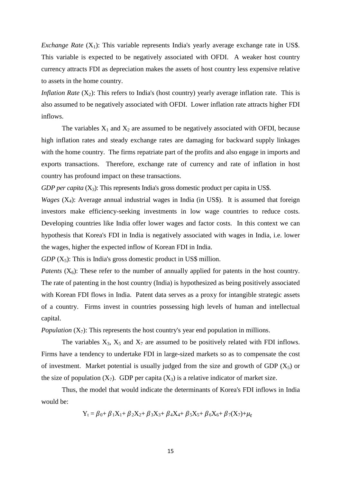*Exchange Rate*  $(X_1)$ : This variable represents India's yearly average exchange rate in US\$. This variable is expected to be negatively associated with OFDI. A weaker host country currency attracts FDI as depreciation makes the assets of host country less expensive relative to assets in the home country.

*Inflation Rate*  $(X_2)$ : This refers to India's (host country) yearly average inflation rate. This is also assumed to be negatively associated with OFDI. Lower inflation rate attracts higher FDI inflows.

The variables  $X_1$  and  $X_2$  are assumed to be negatively associated with OFDI, because high inflation rates and steady exchange rates are damaging for backward supply linkages with the home country. The firms repatriate part of the profits and also engage in imports and exports transactions. Therefore, exchange rate of currency and rate of inflation in host country has profound impact on these transactions.

*GDP per capita*  $(X_3)$ : This represents India's gross domestic product per capita in US\$.

*Wages*  $(X_4)$ : Average annual industrial wages in India (in US\$). It is assumed that foreign investors make efficiency-seeking investments in low wage countries to reduce costs. Developing countries like India offer lower wages and factor costs. In this context we can hypothesis that Korea's FDI in India is negatively associated with wages in India, i.e. lower the wages, higher the expected inflow of Korean FDI in India.

 $GDP(X_5)$ : This is India's gross domestic product in US\$ million.

*Patents*  $(X_6)$ : These refer to the number of annually applied for patents in the host country. The rate of patenting in the host country (India) is hypothesized as being positively associated with Korean FDI flows in India. Patent data serves as a proxy for intangible strategic assets of a country. Firms invest in countries possessing high levels of human and intellectual capital.

*Population*  $(X_7)$ : This represents the host country's year end population in millions.

The variables  $X_3$ ,  $X_5$  and  $X_7$  are assumed to be positively related with FDI inflows. Firms have a tendency to undertake FDI in large-sized markets so as to compensate the cost of investment. Market potential is usually judged from the size and growth of GDP  $(X_5)$  or the size of population  $(X_7)$ . GDP per capita  $(X_3)$  is a relative indicator of market size.

 Thus, the model that would indicate the determinants of Korea's FDI inflows in India would be:

$$
Y_{t} = \beta_{0} + \beta_{1}X_{1} + \beta_{2}X_{2} + \beta_{3}X_{3} + \beta_{4}X_{4} + \beta_{5}X_{5} + \beta_{6}X_{6} + \beta_{7}(X_{7}) + \mu_{t}
$$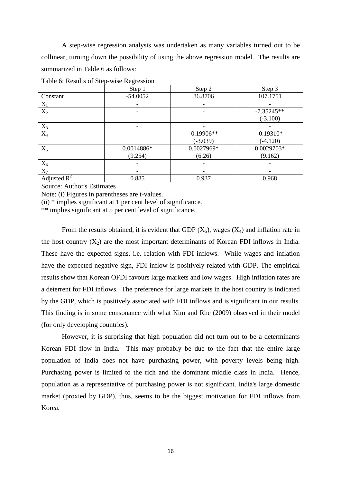A step-wise regression analysis was undertaken as many variables turned out to be collinear, turning down the possibility of using the above regression model. The results are summarized in Table 6 as follows:

|                         | $\check{ }$<br>Step 1 | Step 2       | Step 3       |
|-------------------------|-----------------------|--------------|--------------|
| Constant                | $-54.0052$            | 86.8706      | 107.1751     |
| $X_1$                   |                       |              |              |
| $\mathbf{X}_2$          |                       |              | $-7.35245**$ |
|                         |                       |              | $(-3.100)$   |
| $X_3$                   |                       |              |              |
| $X_4$                   |                       | $-0.19906**$ | $-0.19310*$  |
|                         |                       | $(-3.039)$   | $(-4.120)$   |
| $X_5$                   | 0.0014886*            | 0.0027969*   | 0.0029703*   |
|                         | (9.254)               | (6.26)       | (9.162)      |
| $X_6$                   |                       |              |              |
| $X_7$                   |                       |              |              |
| Adjusted $\mathbb{R}^2$ | 0.885                 | 0.937        | 0.968        |

Table 6: Results of Step-wise Regression

Source: Author's Estimates

Note: (i) Figures in parentheses are t-values.

(ii) \* implies significant at 1 per cent level of significance.

\*\* implies significant at 5 per cent level of significance.

From the results obtained, it is evident that GDP  $(X_5)$ , wages  $(X_4)$  and inflation rate in the host country  $(X_2)$  are the most important determinants of Korean FDI inflows in India. These have the expected signs, i.e. relation with FDI inflows. While wages and inflation have the expected negative sign, FDI inflow is positively related with GDP. The empirical results show that Korean OFDI favours large markets and low wages. High inflation rates are a deterrent for FDI inflows. The preference for large markets in the host country is indicated by the GDP, which is positively associated with FDI inflows and is significant in our results. This finding is in some consonance with what Kim and Rhe (2009) observed in their model (for only developing countries).

 However, it is surprising that high population did not turn out to be a determinants Korean FDI flow in India. This may probably be due to the fact that the entire large population of India does not have purchasing power, with poverty levels being high. Purchasing power is limited to the rich and the dominant middle class in India. Hence, population as a representative of purchasing power is not significant. India's large domestic market (proxied by GDP), thus, seems to be the biggest motivation for FDI inflows from Korea.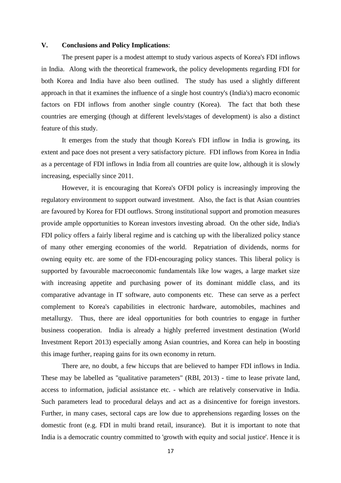#### **V. Conclusions and Policy Implications**:

 The present paper is a modest attempt to study various aspects of Korea's FDI inflows in India. Along with the theoretical framework, the policy developments regarding FDI for both Korea and India have also been outlined. The study has used a slightly different approach in that it examines the influence of a single host country's (India's) macro economic factors on FDI inflows from another single country (Korea). The fact that both these countries are emerging (though at different levels/stages of development) is also a distinct feature of this study.

 It emerges from the study that though Korea's FDI inflow in India is growing, its extent and pace does not present a very satisfactory picture. FDI inflows from Korea in India as a percentage of FDI inflows in India from all countries are quite low, although it is slowly increasing, especially since 2011.

 However, it is encouraging that Korea's OFDI policy is increasingly improving the regulatory environment to support outward investment. Also, the fact is that Asian countries are favoured by Korea for FDI outflows. Strong institutional support and promotion measures provide ample opportunities to Korean investors investing abroad. On the other side, India's FDI policy offers a fairly liberal regime and is catching up with the liberalized policy stance of many other emerging economies of the world. Repatriation of dividends, norms for owning equity etc. are some of the FDI-encouraging policy stances. This liberal policy is supported by favourable macroeconomic fundamentals like low wages, a large market size with increasing appetite and purchasing power of its dominant middle class, and its comparative advantage in IT software, auto components etc. These can serve as a perfect complement to Korea's capabilities in electronic hardware, automobiles, machines and metallurgy. Thus, there are ideal opportunities for both countries to engage in further business cooperation. India is already a highly preferred investment destination (World Investment Report 2013) especially among Asian countries, and Korea can help in boosting this image further, reaping gains for its own economy in return.

 There are, no doubt, a few hiccups that are believed to hamper FDI inflows in India. These may be labelled as "qualitative parameters" (RBI, 2013) - time to lease private land, access to information, judicial assistance etc. - which are relatively conservative in India. Such parameters lead to procedural delays and act as a disincentive for foreign investors. Further, in many cases, sectoral caps are low due to apprehensions regarding losses on the domestic front (e.g. FDI in multi brand retail, insurance). But it is important to note that India is a democratic country committed to 'growth with equity and social justice'. Hence it is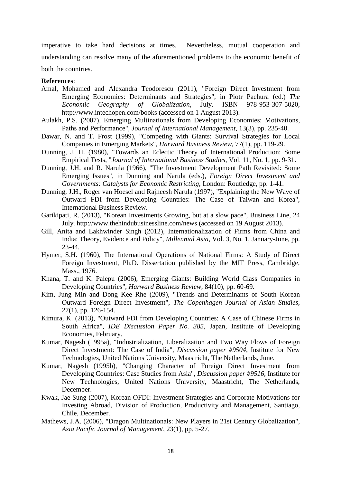imperative to take hard decisions at times. Nevertheless, mutual cooperation and understanding can resolve many of the aforementioned problems to the economic benefit of both the countries.

#### **References**:

- Amal, Mohamed and Alexandra Teodorescu (2011), "Foreign Direct Investment from Emerging Economies: Determinants and Strategies", in Piotr Pachura (ed.) *The Economic Geography of Globalization*, July. ISBN 978-953-307-5020, http://www.intechopen.com/books (accessed on 1 August 2013).
- Aulakh, P.S. (2007), Emerging Multinationals from Developing Economies: Motivations, Paths and Performance", *Journal of International Management*, 13(3), pp. 235-40.
- Dawar, N. and T. Frost (1999), "Competing with Giants: Survival Strategies for Local Companies in Emerging Markets", *Harward Business Review*, 77(1), pp. 119-29.
- Dunning, J. H. (1980), "Towards an Eclectic Theory of International Production: Some Empirical Tests, "*Journal of International Business Studies*, Vol. 11, No. 1, pp. 9-31.
- Dunning, J.H. and R. Narula (1966), "The Investment Development Path Revisited: Some Emerging Issues", in Dunning and Narula (eds.), *Foreign Direct Investment and Governments: Catalysts for Economic Restricting*, London: Routledge, pp. 1-41.
- Dunning, J.H., Roger van Hoesel and Rajneesh Narula (1997), "Explaining the New Wave of Outward FDI from Developing Countries: The Case of Taiwan and Korea", International Business Review.
- Garikipati, R. (2013), "Korean Investments Growing, but at a slow pace", Business Line, 24 July. http://www.thehindubusinessline.com/news (accessed on 19 August 2013).
- Gill, Anita and Lakhwinder Singh (2012), Internationalization of Firms from China and India: Theory, Evidence and Policy", *Millennial Asia*, Vol. 3, No. 1, January-June, pp. 23-44.
- Hymer, S.H. (1960), The International Operations of National Firms: A Study of Direct Foreign Investment, Ph.D. Dissertation published by the MIT Press, Cambridge, Mass., 1976.
- Khana, T. and K. Palepu (2006), Emerging Giants: Building World Class Companies in Developing Countries", *Harward Business Review*, 84(10), pp. 60-69.
- Kim, Jung Min and Dong Kee Rhe (2009), "Trends and Determinants of South Korean Outward Foreign Direct Investment", *The Copenhagen Journal of Asian Studies*, 27(1), pp. 126-154.
- Kimura, K. (2013), "Outward FDI from Developing Countries: A Case of Chinese Firms in South Africa", *IDE Discussion Paper No. 385*, Japan, Institute of Developing Economies, February.
- Kumar, Nagesh (1995a), "Industrialization, Liberalization and Two Way Flows of Foreign Direct Investment: The Case of India", *Discussion paper #9504*, Institute for New Technologies, United Nations University, Maastricht, The Netherlands, June.
- Kumar, Nagesh (1995b), "Changing Character of Foreign Direct Investment from Developing Countries: Case Studies from Asia", *Discussion paper #9516*, Institute for New Technologies, United Nations University, Maastricht, The Netherlands, December.
- Kwak, Jae Sung (2007), Korean OFDI: Investment Strategies and Corporate Motivations for Investing Abroad, Division of Production, Productivity and Management, Santiago, Chile, December.
- Mathews, J.A. (2006), "Dragon Multinationals: New Players in 21st Century Globalization", *Asia Pacific Journal of Management*, 23(1), pp. 5-27.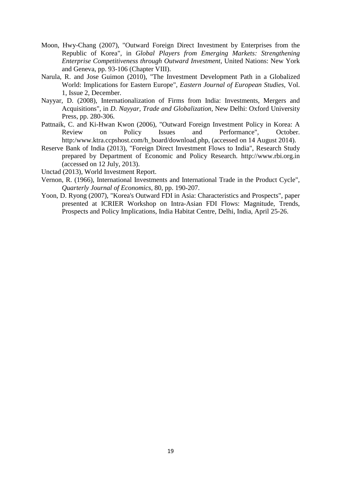- Moon, Hwy-Chang (2007), "Outward Foreign Direct Investment by Enterprises from the Republic of Korea", in *Global Players from Emerging Markets: Strengthening Enterprise Competitiveness through Outward Investment*, United Nations: New York and Geneva, pp. 93-106 (Chapter VIII).
- Narula, R. and Jose Guimon (2010), "The Investment Development Path in a Globalized World: Implications for Eastern Europe", *Eastern Journal of European Studies*, Vol. 1, Issue 2, December.
- Nayyar, D. (2008), Internationalization of Firms from India: Investments, Mergers and Acquisitions", in *D. Nayyar, Trade and Globalization*, New Delhi: Oxford University Press, pp. 280-306.
- Pattnaik, C. and Ki-Hwan Kwon (2006), "Outward Foreign Investment Policy in Korea: A Review on Policy Issues and Performance", October. http:/www.ktra.ccpshost.com/h\_board/download.php, (accessed on 14 August 2014).
- Reserve Bank of India (2013), "Foreign Direct Investment Flows to India", Research Study prepared by Department of Economic and Policy Research. http://www.rbi.org.in (accessed on 12 July, 2013).
- Unctad (2013), World Investment Report.
- Vernon, R. (1966), International Investments and International Trade in the Product Cycle", *Quarterly Journal of Economics*, 80, pp. 190-207.
- Yoon, D. Ryong (2007), "Korea's Outward FDI in Asia: Characteristics and Prospects", paper presented at ICRIER Workshop on Intra-Asian FDI Flows: Magnitude, Trends, Prospects and Policy Implications, India Habitat Centre, Delhi, India, April 25-26.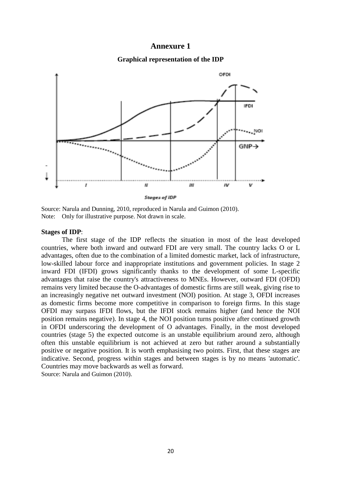#### **Annexure 1**

#### **Graphical representation of the IDP**



Source: Narula and Dunning, 2010, reproduced in Narula and Guimon (2010). Note: Only for illustrative purpose. Not drawn in scale.

#### **Stages of IDP**:

 The first stage of the IDP reflects the situation in most of the least developed countries, where both inward and outward FDI are very small. The country lacks O or L advantages, often due to the combination of a limited domestic market, lack of infrastructure, low-skilled labour force and inappropriate institutions and government policies. In stage 2 inward FDI (IFDI) grows significantly thanks to the development of some L-specific advantages that raise the country's attractiveness to MNEs. However, outward FDI (OFDI) remains very limited because the O-advantages of domestic firms are still weak, giving rise to an increasingly negative net outward investment (NOI) position. At stage 3, OFDI increases as domestic firms become more competitive in comparison to foreign firms. In this stage OFDI may surpass IFDI flows, but the IFDI stock remains higher (and hence the NOI position remains negative). In stage 4, the NOI position turns positive after continued growth in OFDI underscoring the development of O advantages. Finally, in the most developed countries (stage 5) the expected outcome is an unstable equilibrium around zero, although often this unstable equilibrium is not achieved at zero but rather around a substantially positive or negative position. It is worth emphasising two points. First, that these stages are indicative. Second, progress within stages and between stages is by no means 'automatic'. Countries may move backwards as well as forward. Source: Narula and Guimon (2010).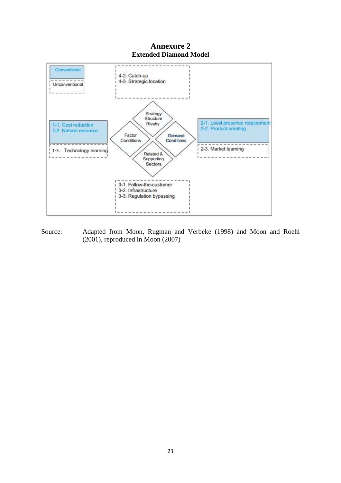### **Annexure 2 Extended Diamond Model**



Source: Adapted from Moon, Rugman and Verbeke (1998) and Moon and Roehl (2001), reproduced in Moon (2007)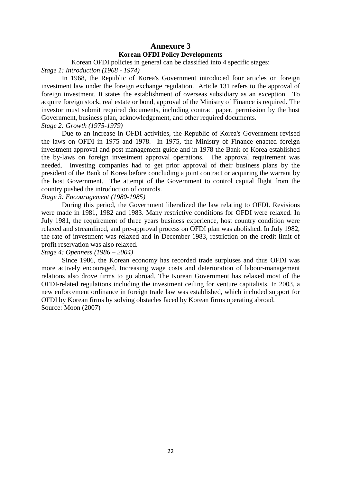### **Annexure 3 Korean OFDI Policy Developments**

Korean OFDI policies in general can be classified into 4 specific stages: *Stage 1: Introduction (1968 - 1974)* 

In 1968, the Republic of Korea's Government introduced four articles on foreign investment law under the foreign exchange regulation. Article 131 refers to the approval of foreign investment. It states the establishment of overseas subsidiary as an exception. To acquire foreign stock, real estate or bond, approval of the Ministry of Finance is required. The investor must submit required documents, including contract paper, permission by the host Government, business plan, acknowledgement, and other required documents.

#### *Stage 2: Growth (1975-1979)*

 Due to an increase in OFDI activities, the Republic of Korea's Government revised the laws on OFDI in 1975 and 1978. In 1975, the Ministry of Finance enacted foreign investment approval and post management guide and in 1978 the Bank of Korea established the by-laws on foreign investment approval operations. The approval requirement was needed. Investing companies had to get prior approval of their business plans by the president of the Bank of Korea before concluding a joint contract or acquiring the warrant by the host Government. The attempt of the Government to control capital flight from the country pushed the introduction of controls.

#### *Stage 3: Encouragement (1980-1985)*

 During this period, the Government liberalized the law relating to OFDI. Revisions were made in 1981, 1982 and 1983. Many restrictive conditions for OFDI were relaxed. In July 1981, the requirement of three years business experience, host country condition were relaxed and streamlined, and pre-approval process on OFDI plan was abolished. In July 1982, the rate of investment was relaxed and in December 1983, restriction on the credit limit of profit reservation was also relaxed.

#### *Stage 4: Openness (1986 – 2004)*

 Since 1986, the Korean economy has recorded trade surpluses and thus OFDI was more actively encouraged. Increasing wage costs and deterioration of labour-management relations also drove firms to go abroad. The Korean Government has relaxed most of the OFDI-related regulations including the investment ceiling for venture capitalists. In 2003, a new enforcement ordinance in foreign trade law was established, which included support for OFDI by Korean firms by solving obstacles faced by Korean firms operating abroad. Source: Moon (2007)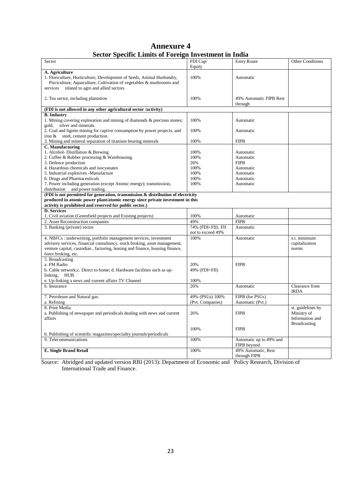### **Annexure 4 Sector Specific Limits of Foreign Investment in India**

| Sector                                                                              | FDI Cap/           | <b>Entry Route</b>      | <b>Other Conditions</b> |
|-------------------------------------------------------------------------------------|--------------------|-------------------------|-------------------------|
|                                                                                     | Equity             |                         |                         |
| A. Agriculture                                                                      |                    |                         |                         |
| 1. Floriculture, Horticulture, Development of Seeds, Animal Husbandry,              | 100%               | Automatic               |                         |
|                                                                                     |                    |                         |                         |
| Pisciculture, Aquaculture, Cultivation of vegetables & mushrooms and                |                    |                         |                         |
| related to agro and allied sectors.<br>services                                     |                    |                         |                         |
|                                                                                     |                    |                         |                         |
| 2. Tea sector, including plantation                                                 | 100%               | 49% Automatic FIPB Rest |                         |
|                                                                                     |                    | through                 |                         |
| (FDI is not allowed in any other agricultural sector /activity)                     |                    |                         |                         |
| <b>B.</b> Industry                                                                  |                    |                         |                         |
| 1. Mining covering exploration and mining of diamonds & precious stones;            | 100%               | Automatic               |                         |
| silver and minerals.<br>gold,                                                       |                    |                         |                         |
| 2. Coal and lignite mining for captive consumption by power projects, and           | 100%               | Automatic               |                         |
| iron & steel, cement production.                                                    |                    |                         |                         |
| 3. Mining and mineral separation of titanium bearing minerals                       | 100%               | <b>FIPB</b>             |                         |
| C. Manufacturing                                                                    |                    |                         |                         |
| 1. Alcohol- Distillation & Brewing                                                  | 100%               | Automatic               |                         |
| 2. Coffee & Rubber processing & Warehousing.                                        | 100%               | Automatic               |                         |
| 3. Defence production                                                               | 26%                | <b>FIPB</b>             |                         |
| 4. Hazardous chemicals and isocyanates                                              | 100%               | Automatic               |                         |
| 5. Industrial explosives -Manufacture                                               | 100%               | Automatic               |                         |
| 6. Drugs and Pharmaceuticals                                                        | 100%               | Automatic               |                         |
| 7. Power including generation (except Atomic energy); transmission,                 | 100%               | Automatic               |                         |
| distribution and power trading.                                                     |                    |                         |                         |
| (FDI is not permitted for generation, transmission $\&$ distribution of electricity |                    |                         |                         |
| produced in atomic power plant/atomic energy since private investment in this       |                    |                         |                         |
| activity is prohibited and reserved for public sector.)                             |                    |                         |                         |
| <b>D.</b> Services                                                                  |                    |                         |                         |
|                                                                                     | 100%               | Automatic               |                         |
| 1. Civil aviation (Greenfield projects and Existing projects)                       |                    |                         |                         |
| 2. Asset Reconstruction companies                                                   | 49%                | <b>FIPB</b>             |                         |
| 3. Banking (private) sector                                                         | 74% (FDI+FII). FII | Automatic               |                         |
|                                                                                     | not to exceed 49%  |                         |                         |
| 4. NBFCs : underwriting, portfolio management services, investment                  | 100%               | Automatic               | s.t. minimum            |
| advisory services, financial consultancy, stock broking, asset management,          |                    |                         | capitalization          |
| venture capital, custodian, factoring, leasing and finance, housing finance,        |                    |                         | norms                   |
| forex broking, etc.                                                                 |                    |                         |                         |
| 5. Broadcasting                                                                     |                    |                         |                         |
| a. FM Radio                                                                         | 20%                | <b>FIPB</b>             |                         |
| b. Cable network; c. Direct to home; d. Hardware facilities such as up-             | 49% (FDI+FII)      |                         |                         |
| linking, HUB.                                                                       |                    |                         |                         |
| e. Up-linking a news and current affairs TV Channel                                 | 100%               |                         |                         |
| 6. Insurance                                                                        | 26%                | Automatic               | Clearance from          |
|                                                                                     |                    |                         | <b>IRDA</b>             |
| 7. Petroleum and Natural gas:                                                       | 49% (PSUs) 100%    | FIPB (for PSUs)         |                         |
| a. Refining                                                                         | (Pvt. Companies)   | Automatic (Pvt.)        |                         |
| 8. Print Media                                                                      |                    |                         | st. guidelines by       |
| a. Publishing of newspaper and periodicals dealing with news and current            | 26%                | <b>FIPB</b>             | Ministry of             |
| affairs                                                                             |                    |                         | Information and         |
|                                                                                     |                    |                         | <b>Broadcasting</b>     |
|                                                                                     | 100%               | <b>FIPB</b>             |                         |
| b. Publishing of scientific magazines/speciality journals/periodicals               |                    |                         |                         |
| 9. Telecommunications                                                               |                    | Automatic up to 49% and |                         |
|                                                                                     | 100%               |                         |                         |
|                                                                                     |                    | FIPB beyond             |                         |
| <b>E. Single Brand Retail</b>                                                       | 100%               | 49% Automatic, Rest     |                         |
|                                                                                     |                    | through FIPB            |                         |

Source: Abridged and updated version RBI (2013): Department of Economic and Policy Research, Division of International Trade and Finance.